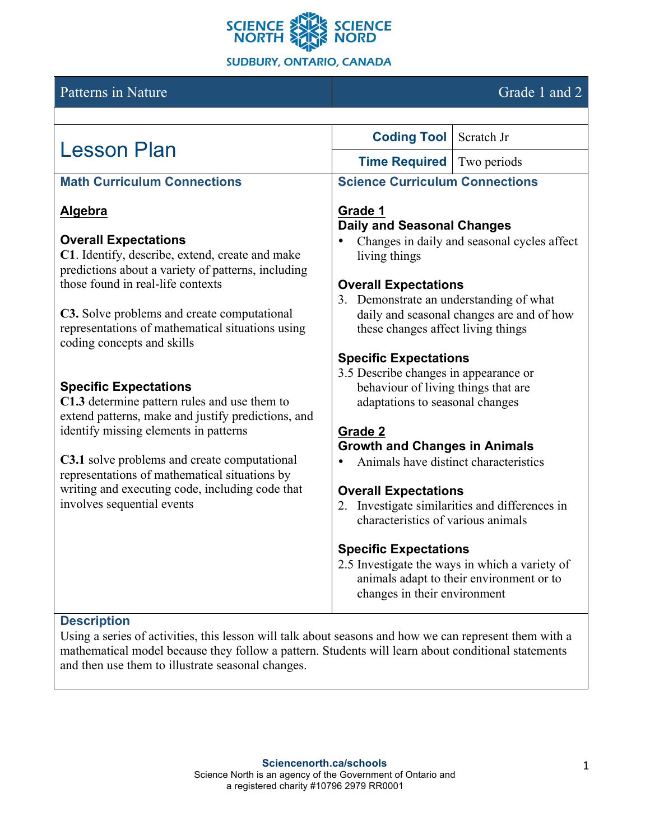

## Patterns in Nature Grade 1 and 2

| <b>Lesson Plan</b>                                                             | <b>Coding Tool</b> Scratch Jr           |                                                |
|--------------------------------------------------------------------------------|-----------------------------------------|------------------------------------------------|
|                                                                                | <b>Time Required</b> Two periods        |                                                |
| <b>Math Curriculum Connections</b>                                             | <b>Science Curriculum Connections</b>   |                                                |
| Algebra                                                                        | Grade 1                                 |                                                |
|                                                                                | <b>Daily and Seasonal Changes</b>       |                                                |
| <b>Overall Expectations</b>                                                    |                                         | Changes in daily and seasonal cycles affect    |
| C1. Identify, describe, extend, create and make                                | living things                           |                                                |
| predictions about a variety of patterns, including                             |                                         |                                                |
| those found in real-life contexts                                              | <b>Overall Expectations</b>             |                                                |
|                                                                                | 3. Demonstrate an understanding of what |                                                |
| C3. Solve problems and create computational                                    |                                         | daily and seasonal changes are and of how      |
| representations of mathematical situations using<br>coding concepts and skills | these changes affect living things      |                                                |
|                                                                                | <b>Specific Expectations</b>            |                                                |
|                                                                                | 3.5 Describe changes in appearance or   |                                                |
| <b>Specific Expectations</b>                                                   | behaviour of living things that are     |                                                |
| C1.3 determine pattern rules and use them to                                   | adaptations to seasonal changes         |                                                |
| extend patterns, make and justify predictions, and                             |                                         |                                                |
| identify missing elements in patterns                                          | <b>Grade 2</b>                          |                                                |
|                                                                                | <b>Growth and Changes in Animals</b>    |                                                |
| C3.1 solve problems and create computational                                   | Animals have distinct characteristics   |                                                |
| representations of mathematical situations by                                  |                                         |                                                |
| writing and executing code, including code that                                | <b>Overall Expectations</b>             |                                                |
| involves sequential events                                                     |                                         | 2. Investigate similarities and differences in |
|                                                                                | characteristics of various animals      |                                                |
|                                                                                | <b>Specific Expectations</b>            |                                                |
|                                                                                |                                         | 2.5 Investigate the ways in which a variety of |
|                                                                                |                                         | animals adapt to their environment or to       |
|                                                                                | changes in their environment            |                                                |
| <b>Description</b>                                                             |                                         |                                                |

#### **Description**

Using a series of activities, this lesson will talk about seasons and how we can represent them with a mathematical model because they follow a pattern. Students will learn about conditional statements and then use them to illustrate seasonal changes.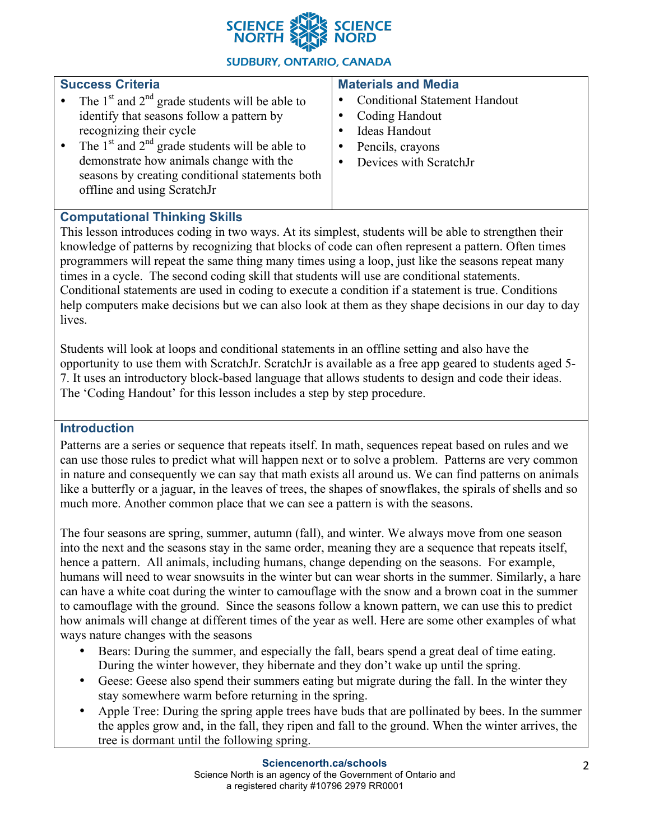

### **SUDBURY, ONTARIO, CANADA**

| <b>Success Criteria</b>                                                                                                                                                                                                                                                                                                                 | <b>Materials and Media</b>                                                                                            |
|-----------------------------------------------------------------------------------------------------------------------------------------------------------------------------------------------------------------------------------------------------------------------------------------------------------------------------------------|-----------------------------------------------------------------------------------------------------------------------|
| The $1st$ and $2nd$ grade students will be able to<br>$\bullet$<br>identify that seasons follow a pattern by<br>recognizing their cycle<br>The $1st$ and $2nd$ grade students will be able to<br>$\bullet$<br>demonstrate how animals change with the<br>seasons by creating conditional statements both<br>offline and using ScratchJr | <b>Conditional Statement Handout</b><br>Coding Handout<br>Ideas Handout<br>Pencils, crayons<br>Devices with ScratchJr |
|                                                                                                                                                                                                                                                                                                                                         |                                                                                                                       |

## **Computational Thinking Skills**

This lesson introduces coding in two ways. At its simplest, students will be able to strengthen their knowledge of patterns by recognizing that blocks of code can often represent a pattern. Often times programmers will repeat the same thing many times using a loop, just like the seasons repeat many times in a cycle. The second coding skill that students will use are conditional statements. Conditional statements are used in coding to execute a condition if a statement is true. Conditions help computers make decisions but we can also look at them as they shape decisions in our day to day lives.

Students will look at loops and conditional statements in an offline setting and also have the opportunity to use them with ScratchJr. ScratchJr is available as a free app geared to students aged 5- 7. It uses an introductory block-based language that allows students to design and code their ideas. The 'Coding Handout' for this lesson includes a step by step procedure.

#### **Introduction**

Patterns are a series or sequence that repeats itself. In math, sequences repeat based on rules and we can use those rules to predict what will happen next or to solve a problem. Patterns are very common in nature and consequently we can say that math exists all around us. We can find patterns on animals like a butterfly or a jaguar, in the leaves of trees, the shapes of snowflakes, the spirals of shells and so much more. Another common place that we can see a pattern is with the seasons.

The four seasons are spring, summer, autumn (fall), and winter. We always move from one season into the next and the seasons stay in the same order, meaning they are a sequence that repeats itself, hence a pattern. All animals, including humans, change depending on the seasons. For example, humans will need to wear snowsuits in the winter but can wear shorts in the summer. Similarly, a hare can have a white coat during the winter to camouflage with the snow and a brown coat in the summer to camouflage with the ground. Since the seasons follow a known pattern, we can use this to predict how animals will change at different times of the year as well. Here are some other examples of what ways nature changes with the seasons

- Bears: During the summer, and especially the fall, bears spend a great deal of time eating. During the winter however, they hibernate and they don't wake up until the spring.
- Geese: Geese also spend their summers eating but migrate during the fall. In the winter they stay somewhere warm before returning in the spring.
- Apple Tree: During the spring apple trees have buds that are pollinated by bees. In the summer the apples grow and, in the fall, they ripen and fall to the ground. When the winter arrives, the tree is dormant until the following spring.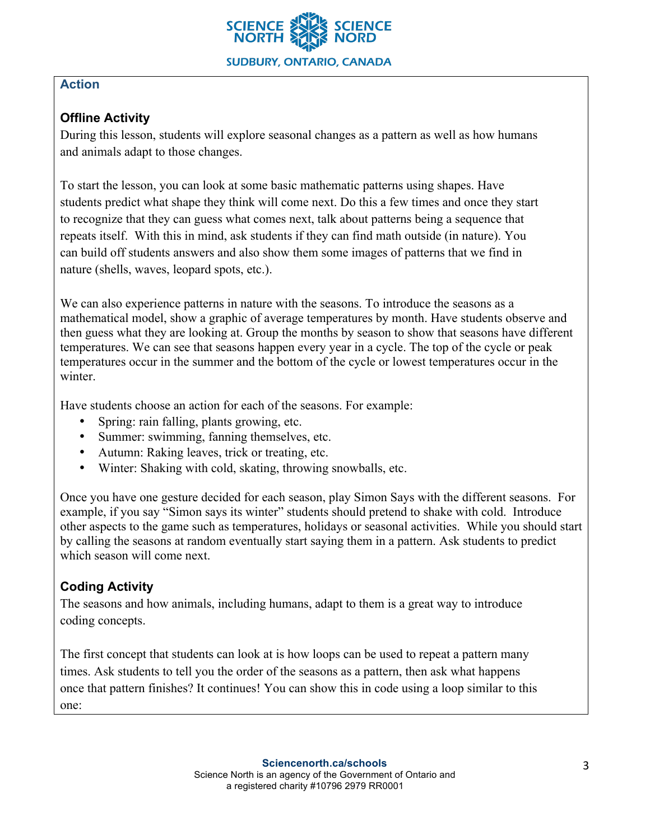

## **Action**

# **Offline Activity**

During this lesson, students will explore seasonal changes as a pattern as well as how humans and animals adapt to those changes.

To start the lesson, you can look at some basic mathematic patterns using shapes. Have students predict what shape they think will come next. Do this a few times and once they start to recognize that they can guess what comes next, talk about patterns being a sequence that repeats itself. With this in mind, ask students if they can find math outside (in nature). You can build off students answers and also show them some images of patterns that we find in nature (shells, waves, leopard spots, etc.).

We can also experience patterns in nature with the seasons. To introduce the seasons as a mathematical model, show a graphic of average temperatures by month. Have students observe and then guess what they are looking at. Group the months by season to show that seasons have different temperatures. We can see that seasons happen every year in a cycle. The top of the cycle or peak temperatures occur in the summer and the bottom of the cycle or lowest temperatures occur in the winter.

Have students choose an action for each of the seasons. For example:

- Spring: rain falling, plants growing, etc.
- Summer: swimming, fanning themselves, etc.
- Autumn: Raking leaves, trick or treating, etc.
- Winter: Shaking with cold, skating, throwing snowballs, etc.

Once you have one gesture decided for each season, play Simon Says with the different seasons. For example, if you say "Simon says its winter" students should pretend to shake with cold. Introduce other aspects to the game such as temperatures, holidays or seasonal activities. While you should start by calling the seasons at random eventually start saying them in a pattern. Ask students to predict which season will come next.

# **Coding Activity**

The seasons and how animals, including humans, adapt to them is a great way to introduce coding concepts.

The first concept that students can look at is how loops can be used to repeat a pattern many times. Ask students to tell you the order of the seasons as a pattern, then ask what happens once that pattern finishes? It continues! You can show this in code using a loop similar to this one: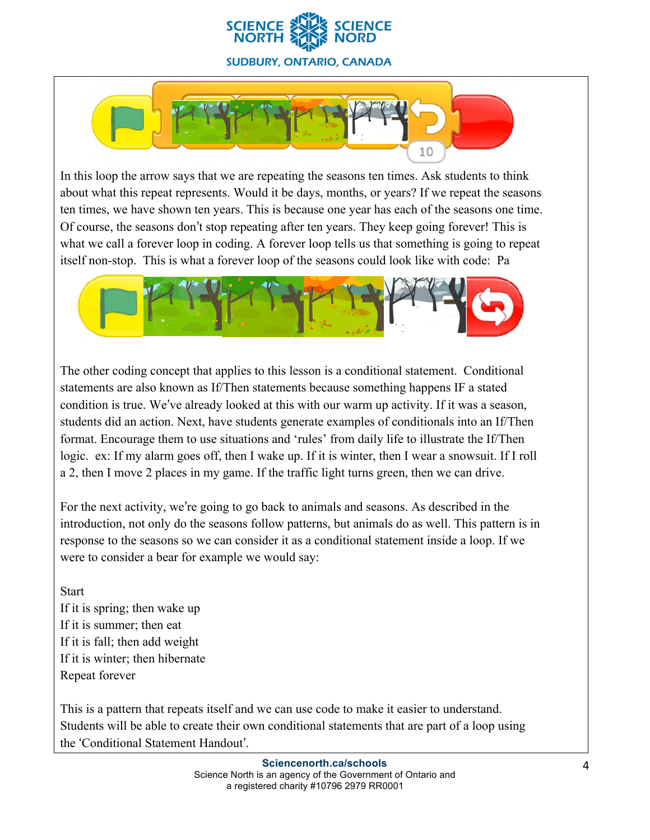



In this loop the arrow says that we are repeating the seasons ten times. Ask students to think about what this repeat represents. Would it be days, months, or years? If we repeat the seasons ten times, we have shown ten years. This is because one year has each of the seasons one time. Of course, the seasons don't stop repeating after ten years. They keep going forever! This is what we call a forever loop in coding. A forever loop tells us that something is going to repeat itself non-stop. This is what a forever loop of the seasons could look like with code: Pa



The other coding concept that applies to this lesson is a conditional statement. Conditional statements are also known as If/Then statements because something happens IF a stated condition is true. We've already looked at this with our warm up activity. If it was a season, students did an action. Next, have students generate examples of conditionals into an If/Then format. Encourage them to use situations and 'rules' from daily life to illustrate the If/Then logic. ex: If my alarm goes off, then I wake up. If it is winter, then I wear a snowsuit. If I roll a 2, then I move 2 places in my game. If the traffic light turns green, then we can drive.

For the next activity, we're going to go back to animals and seasons. As described in the introduction, not only do the seasons follow patterns, but animals do as well. This pattern is in response to the seasons so we can consider it as a conditional statement inside a loop. If we were to consider a bear for example we would say:

**Start** 

If it is spring; then wake up If it is summer; then eat If it is fall; then add weight If it is winter; then hibernate Repeat forever

This is a pattern that repeats itself and we can use code to make it easier to understand. Students will be able to create their own conditional statements that are part of a loop using the 'Conditional Statement Handout'.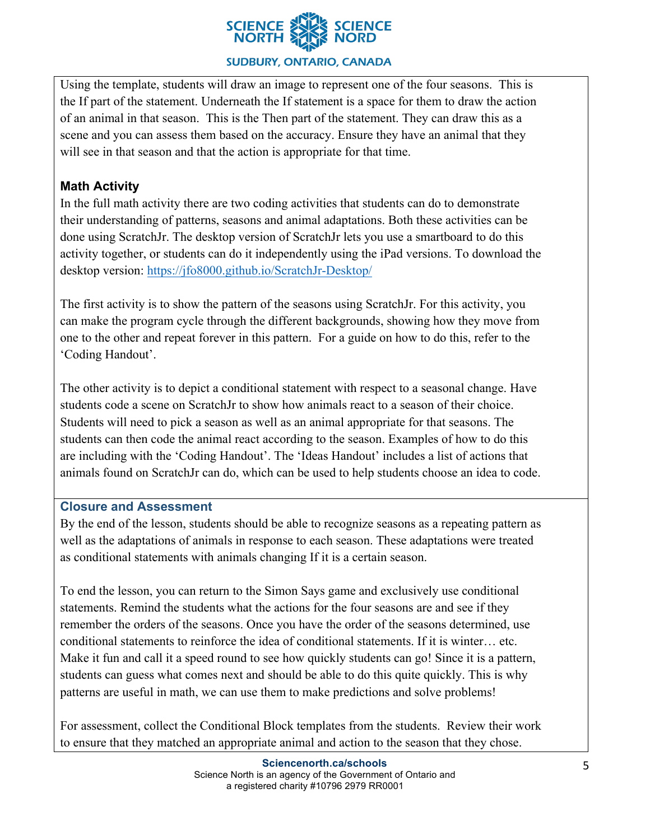

#### **SUDBURY, ONTARIO, CANADA**

Using the template, students will draw an image to represent one of the four seasons. This is the If part of the statement. Underneath the If statement is a space for them to draw the action of an animal in that season. This is the Then part of the statement. They can draw this as a scene and you can assess them based on the accuracy. Ensure they have an animal that they will see in that season and that the action is appropriate for that time.

## **Math Activity**

In the full math activity there are two coding activities that students can do to demonstrate their understanding of patterns, seasons and animal adaptations. Both these activities can be done using ScratchJr. The desktop version of ScratchJr lets you use a smartboard to do this activity together, or students can do it independently using the iPad versions. To download the desktop version: https://jfo8000.github.io/ScratchJr-Desktop/

The first activity is to show the pattern of the seasons using ScratchJr. For this activity, you can make the program cycle through the different backgrounds, showing how they move from one to the other and repeat forever in this pattern. For a guide on how to do this, refer to the 'Coding Handout'.

The other activity is to depict a conditional statement with respect to a seasonal change. Have students code a scene on ScratchJr to show how animals react to a season of their choice. Students will need to pick a season as well as an animal appropriate for that seasons. The students can then code the animal react according to the season. Examples of how to do this are including with the 'Coding Handout'. The 'Ideas Handout' includes a list of actions that animals found on ScratchJr can do, which can be used to help students choose an idea to code.

#### **Closure and Assessment**

By the end of the lesson, students should be able to recognize seasons as a repeating pattern as well as the adaptations of animals in response to each season. These adaptations were treated as conditional statements with animals changing If it is a certain season.

To end the lesson, you can return to the Simon Says game and exclusively use conditional statements. Remind the students what the actions for the four seasons are and see if they remember the orders of the seasons. Once you have the order of the seasons determined, use conditional statements to reinforce the idea of conditional statements. If it is winter… etc. Make it fun and call it a speed round to see how quickly students can go! Since it is a pattern, students can guess what comes next and should be able to do this quite quickly. This is why patterns are useful in math, we can use them to make predictions and solve problems!

For assessment, collect the Conditional Block templates from the students. Review their work to ensure that they matched an appropriate animal and action to the season that they chose.